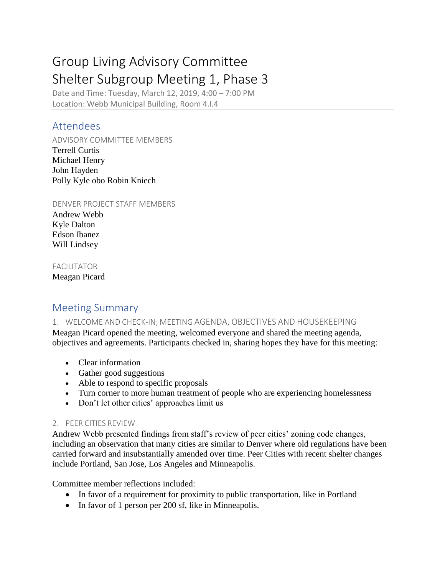# Group Living Advisory Committee Shelter Subgroup Meeting 1, Phase 3

Date and Time: Tuesday, March 12, 2019, 4:00 – 7:00 PM Location: Webb Municipal Building, Room 4.I.4

# Attendees

ADVISORY COMMITTEE MEMBERS Terrell Curtis Michael Henry John Hayden Polly Kyle obo Robin Kniech

DENVER PROJECT STAFF MEMBERS

Andrew Webb Kyle Dalton Edson Ibanez Will Lindsey

#### FACILITATOR

Meagan Picard

# Meeting Summary

## 1. WELCOME AND CHECK-IN; MEETING AGENDA, OBJECTIVES AND HOUSEKEEPING

Meagan Picard opened the meeting, welcomed everyone and shared the meeting agenda, objectives and agreements. Participants checked in, sharing hopes they have for this meeting:

- Clear information
- Gather good suggestions
- Able to respond to specific proposals
- Turn corner to more human treatment of people who are experiencing homelessness
- Don't let other cities' approaches limit us

## 2. PEER CITIES REVIEW

Andrew Webb presented findings from staff's review of peer cities' zoning code changes, including an observation that many cities are similar to Denver where old regulations have been carried forward and insubstantially amended over time. Peer Cities with recent shelter changes include Portland, San Jose, Los Angeles and Minneapolis.

Committee member reflections included:

- In favor of a requirement for proximity to public transportation, like in Portland
- In favor of 1 person per 200 sf, like in Minneapolis.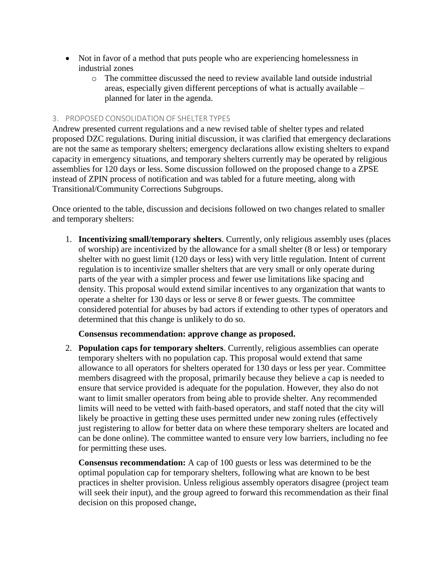- Not in favor of a method that puts people who are experiencing homelessness in industrial zones
	- o The committee discussed the need to review available land outside industrial areas, especially given different perceptions of what is actually available – planned for later in the agenda.

#### 3. PROPOSED CONSOLIDATION OF SHELTER TYPES

Andrew presented current regulations and a new revised table of shelter types and related proposed DZC regulations. During initial discussion, it was clarified that emergency declarations are not the same as temporary shelters; emergency declarations allow existing shelters to expand capacity in emergency situations, and temporary shelters currently may be operated by religious assemblies for 120 days or less. Some discussion followed on the proposed change to a ZPSE instead of ZPIN process of notification and was tabled for a future meeting, along with Transitional/Community Corrections Subgroups.

Once oriented to the table, discussion and decisions followed on two changes related to smaller and temporary shelters:

1. **Incentivizing small/temporary shelters**. Currently, only religious assembly uses (places of worship) are incentivized by the allowance for a small shelter (8 or less) or temporary shelter with no guest limit (120 days or less) with very little regulation. Intent of current regulation is to incentivize smaller shelters that are very small or only operate during parts of the year with a simpler process and fewer use limitations like spacing and density. This proposal would extend similar incentives to any organization that wants to operate a shelter for 130 days or less or serve 8 or fewer guests. The committee considered potential for abuses by bad actors if extending to other types of operators and determined that this change is unlikely to do so.

#### **Consensus recommendation: approve change as proposed.**

2. **Population caps for temporary shelters**. Currently, religious assemblies can operate temporary shelters with no population cap. This proposal would extend that same allowance to all operators for shelters operated for 130 days or less per year. Committee members disagreed with the proposal, primarily because they believe a cap is needed to ensure that service provided is adequate for the population. However, they also do not want to limit smaller operators from being able to provide shelter. Any recommended limits will need to be vetted with faith-based operators, and staff noted that the city will likely be proactive in getting these uses permitted under new zoning rules (effectively just registering to allow for better data on where these temporary shelters are located and can be done online). The committee wanted to ensure very low barriers, including no fee for permitting these uses.

**Consensus recommendation:** A cap of 100 guests or less was determined to be the optimal population cap for temporary shelters, following what are known to be best practices in shelter provision. Unless religious assembly operators disagree (project team will seek their input), and the group agreed to forward this recommendation as their final decision on this proposed change**.**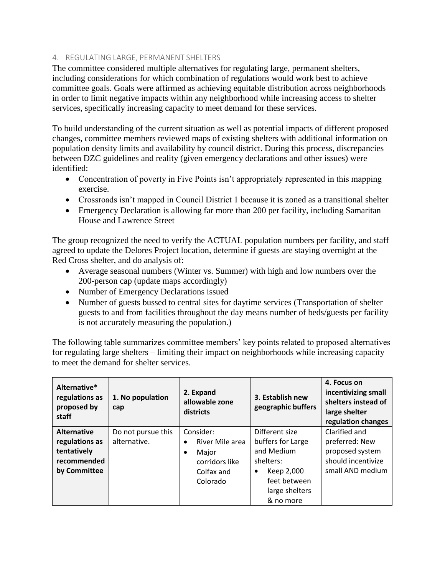#### 4. REGULATING LARGE, PERMANENT SHELTERS

The committee considered multiple alternatives for regulating large, permanent shelters, including considerations for which combination of regulations would work best to achieve committee goals. Goals were affirmed as achieving equitable distribution across neighborhoods in order to limit negative impacts within any neighborhood while increasing access to shelter services, specifically increasing capacity to meet demand for these services.

To build understanding of the current situation as well as potential impacts of different proposed changes, committee members reviewed maps of existing shelters with additional information on population density limits and availability by council district. During this process, discrepancies between DZC guidelines and reality (given emergency declarations and other issues) were identified:

- Concentration of poverty in Five Points isn't appropriately represented in this mapping exercise.
- Crossroads isn't mapped in Council District 1 because it is zoned as a transitional shelter
- Emergency Declaration is allowing far more than 200 per facility, including Samaritan House and Lawrence Street

The group recognized the need to verify the ACTUAL population numbers per facility, and staff agreed to update the Delores Project location, determine if guests are staying overnight at the Red Cross shelter, and do analysis of:

- Average seasonal numbers (Winter vs. Summer) with high and low numbers over the 200-person cap (update maps accordingly)
- Number of Emergency Declarations issued
- Number of guests bussed to central sites for daytime services (Transportation of shelter guests to and from facilities throughout the day means number of beds/guests per facility is not accurately measuring the population.)

The following table summarizes committee members' key points related to proposed alternatives for regulating large shelters – limiting their impact on neighborhoods while increasing capacity to meet the demand for shelter services.

| Alternative*<br>regulations as<br>proposed by<br>staff | 1. No population<br>cap | 2. Expand<br>allowable zone<br>districts | 3. Establish new<br>geographic buffers | 4. Focus on<br>incentivizing small<br>shelters instead of<br>large shelter<br>regulation changes |
|--------------------------------------------------------|-------------------------|------------------------------------------|----------------------------------------|--------------------------------------------------------------------------------------------------|
| <b>Alternative</b>                                     | Do not pursue this      | Consider:                                | Different size                         | Clarified and                                                                                    |
| regulations as                                         | alternative.            | River Mile area<br>$\bullet$             | buffers for Large                      | preferred: New                                                                                   |
| tentatively                                            |                         | Major<br>٠                               | and Medium                             | proposed system                                                                                  |
| recommended                                            |                         | corridors like                           | shelters:                              | should incentivize                                                                               |
| by Committee                                           |                         | Colfax and                               | Keep 2,000<br>$\bullet$                | small AND medium                                                                                 |
|                                                        |                         | Colorado                                 | feet between                           |                                                                                                  |
|                                                        |                         |                                          | large shelters                         |                                                                                                  |
|                                                        |                         |                                          | & no more                              |                                                                                                  |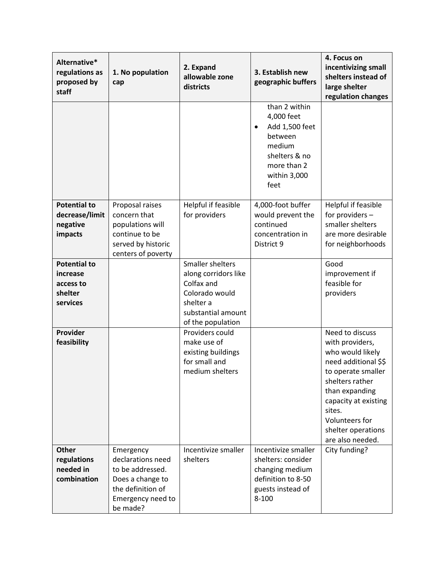| Alternative*<br>regulations as<br>proposed by<br>staff              | 1. No population<br>cap                                                                                                      | 2. Expand<br>allowable zone<br>districts                                                                                         | 3. Establish new<br>geographic buffers                                                                                                  | 4. Focus on<br>incentivizing small<br>shelters instead of<br>large shelter<br>regulation changes                                                                                                                                        |
|---------------------------------------------------------------------|------------------------------------------------------------------------------------------------------------------------------|----------------------------------------------------------------------------------------------------------------------------------|-----------------------------------------------------------------------------------------------------------------------------------------|-----------------------------------------------------------------------------------------------------------------------------------------------------------------------------------------------------------------------------------------|
|                                                                     |                                                                                                                              |                                                                                                                                  | than 2 within<br>4,000 feet<br>Add 1,500 feet<br>$\bullet$<br>between<br>medium<br>shelters & no<br>more than 2<br>within 3,000<br>feet |                                                                                                                                                                                                                                         |
| <b>Potential to</b><br>decrease/limit<br>negative<br>impacts        | Proposal raises<br>concern that<br>populations will<br>continue to be<br>served by historic<br>centers of poverty            | Helpful if feasible<br>for providers                                                                                             | 4,000-foot buffer<br>would prevent the<br>continued<br>concentration in<br>District 9                                                   | Helpful if feasible<br>for providers -<br>smaller shelters<br>are more desirable<br>for neighborhoods                                                                                                                                   |
| <b>Potential to</b><br>increase<br>access to<br>shelter<br>services |                                                                                                                              | Smaller shelters<br>along corridors like<br>Colfax and<br>Colorado would<br>shelter a<br>substantial amount<br>of the population |                                                                                                                                         | Good<br>improvement if<br>feasible for<br>providers                                                                                                                                                                                     |
| Provider<br>feasibility                                             |                                                                                                                              | Providers could<br>make use of<br>existing buildings<br>for small and<br>medium shelters                                         |                                                                                                                                         | Need to discuss<br>with providers,<br>who would likely<br>need additional \$\$<br>to operate smaller<br>shelters rather<br>than expanding<br>capacity at existing<br>sites.<br>Volunteers for<br>shelter operations<br>are also needed. |
| <b>Other</b><br>regulations<br>needed in<br>combination             | Emergency<br>declarations need<br>to be addressed.<br>Does a change to<br>the definition of<br>Emergency need to<br>be made? | Incentivize smaller<br>shelters                                                                                                  | Incentivize smaller<br>shelters: consider<br>changing medium<br>definition to 8-50<br>guests instead of<br>8-100                        | City funding?                                                                                                                                                                                                                           |